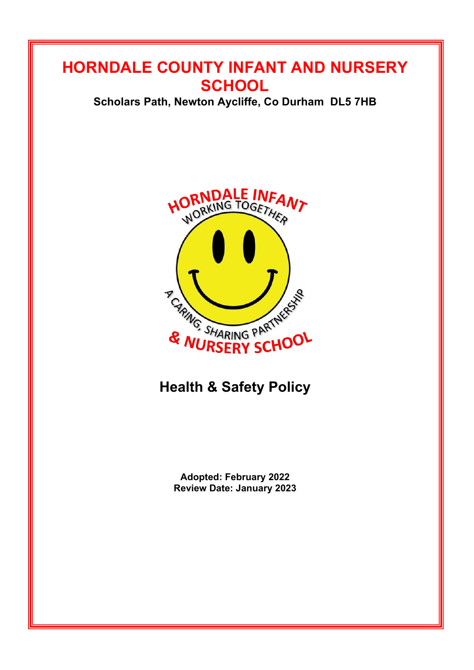## **HORNDALE COUNTY INFANT AND NURSERY SCHOOL**

**Scholars Path, Newton Aycliffe, Co Durham DL5 7HB**



# **Health & Safety Policy**

**Adopted: February 2022 Review Date: January 2023**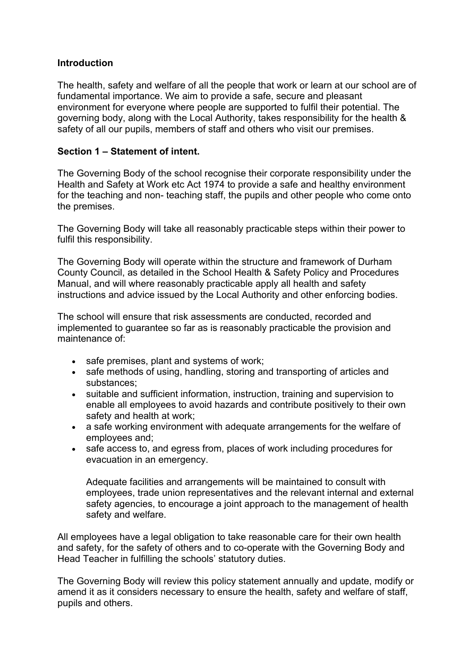#### **Introduction**

The health, safety and welfare of all the people that work or learn at our school are of fundamental importance. We aim to provide a safe, secure and pleasant environment for everyone where people are supported to fulfil their potential. The governing body, along with the Local Authority, takes responsibility for the health & safety of all our pupils, members of staff and others who visit our premises.

#### **Section 1 – Statement of intent.**

The Governing Body of the school recognise their corporate responsibility under the Health and Safety at Work etc Act 1974 to provide a safe and healthy environment for the teaching and non- teaching staff, the pupils and other people who come onto the premises.

The Governing Body will take all reasonably practicable steps within their power to fulfil this responsibility.

The Governing Body will operate within the structure and framework of Durham County Council, as detailed in the School Health & Safety Policy and Procedures Manual, and will where reasonably practicable apply all health and safety instructions and advice issued by the Local Authority and other enforcing bodies.

The school will ensure that risk assessments are conducted, recorded and implemented to guarantee so far as is reasonably practicable the provision and maintenance of:

- safe premises, plant and systems of work;
- safe methods of using, handling, storing and transporting of articles and substances;
- suitable and sufficient information, instruction, training and supervision to enable all employees to avoid hazards and contribute positively to their own safety and health at work;
- a safe working environment with adequate arrangements for the welfare of employees and;
- safe access to, and egress from, places of work including procedures for evacuation in an emergency.

Adequate facilities and arrangements will be maintained to consult with employees, trade union representatives and the relevant internal and external safety agencies, to encourage a joint approach to the management of health safety and welfare.

All employees have a legal obligation to take reasonable care for their own health and safety, for the safety of others and to co-operate with the Governing Body and Head Teacher in fulfilling the schools' statutory duties.

The Governing Body will review this policy statement annually and update, modify or amend it as it considers necessary to ensure the health, safety and welfare of staff, pupils and others.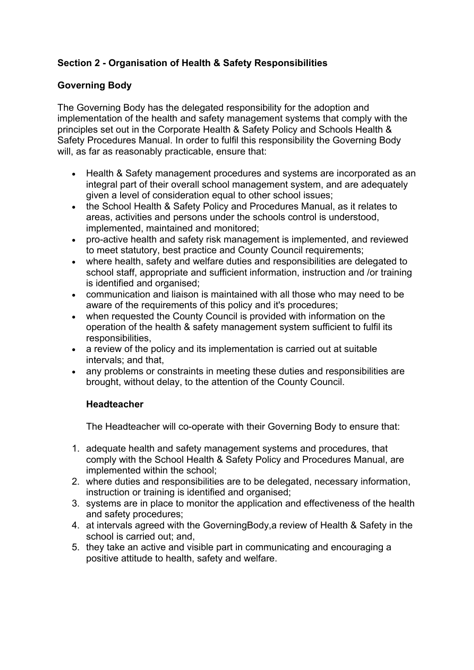## **Section 2 - Organisation of Health & Safety Responsibilities**

## **Governing Body**

The Governing Body has the delegated responsibility for the adoption and implementation of the health and safety management systems that comply with the principles set out in the Corporate Health & Safety Policy and Schools Health & Safety Procedures Manual. In order to fulfil this responsibility the Governing Body will, as far as reasonably practicable, ensure that:

- Health & Safety management procedures and systems are incorporated as an integral part of their overall school management system, and are adequately given a level of consideration equal to other school issues;
- the School Health & Safety Policy and Procedures Manual, as it relates to areas, activities and persons under the schools control is understood, implemented, maintained and monitored;
- pro-active health and safety risk management is implemented, and reviewed to meet statutory, best practice and County Council requirements;
- where health, safety and welfare duties and responsibilities are delegated to school staff, appropriate and sufficient information, instruction and /or training is identified and organised;
- communication and liaison is maintained with all those who may need to be aware of the requirements of this policy and it's procedures;
- when requested the County Council is provided with information on the operation of the health & safety management system sufficient to fulfil its responsibilities,
- a review of the policy and its implementation is carried out at suitable intervals; and that,
- any problems or constraints in meeting these duties and responsibilities are brought, without delay, to the attention of the County Council.

## **Headteacher**

The Headteacher will co-operate with their Governing Body to ensure that:

- 1. adequate health and safety management systems and procedures, that comply with the School Health & Safety Policy and Procedures Manual, are implemented within the school;
- 2. where duties and responsibilities are to be delegated, necessary information, instruction or training is identified and organised;
- 3. systems are in place to monitor the application and effectiveness of the health and safety procedures;
- 4. at intervals agreed with the GoverningBody,a review of Health & Safety in the school is carried out; and,
- 5. they take an active and visible part in communicating and encouraging a positive attitude to health, safety and welfare.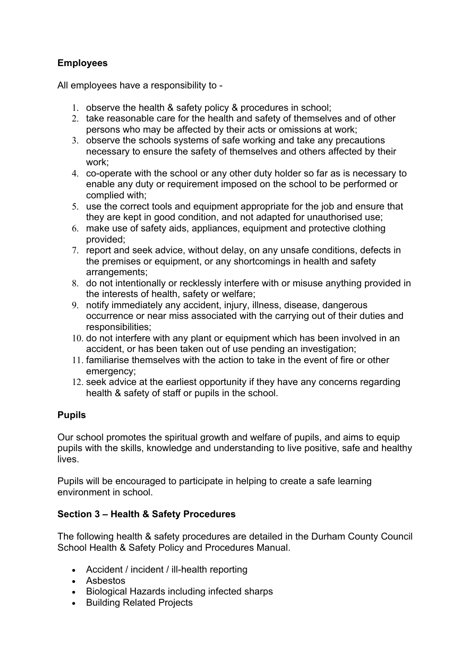## **Employees**

All employees have a responsibility to -

- 1. observe the health & safety policy & procedures in school;
- 2. take reasonable care for the health and safety of themselves and of other persons who may be affected by their acts or omissions at work;
- 3. observe the schools systems of safe working and take any precautions necessary to ensure the safety of themselves and others affected by their work;
- 4. co-operate with the school or any other duty holder so far as is necessary to enable any duty or requirement imposed on the school to be performed or complied with;
- 5. use the correct tools and equipment appropriate for the job and ensure that they are kept in good condition, and not adapted for unauthorised use;
- 6. make use of safety aids, appliances, equipment and protective clothing provided;
- 7. report and seek advice, without delay, on any unsafe conditions, defects in the premises or equipment, or any shortcomings in health and safety arrangements;
- 8. do not intentionally or recklessly interfere with or misuse anything provided in the interests of health, safety or welfare;
- 9. notify immediately any accident, injury, illness, disease, dangerous occurrence or near miss associated with the carrying out of their duties and responsibilities;
- 10. do not interfere with any plant or equipment which has been involved in an accident, or has been taken out of use pending an investigation;
- 11. familiarise themselves with the action to take in the event of fire or other emergency;
- 12. seek advice at the earliest opportunity if they have any concerns regarding health & safety of staff or pupils in the school.

## **Pupils**

Our school promotes the spiritual growth and welfare of pupils, and aims to equip pupils with the skills, knowledge and understanding to live positive, safe and healthy lives.

Pupils will be encouraged to participate in helping to create a safe learning environment in school.

## **Section 3 – Health & Safety Procedures**

The following health & safety procedures are detailed in the Durham County Council School Health & Safety Policy and Procedures Manual.

- Accident / incident / ill-health reporting
- Asbestos
- Biological Hazards including infected sharps
- Building Related Projects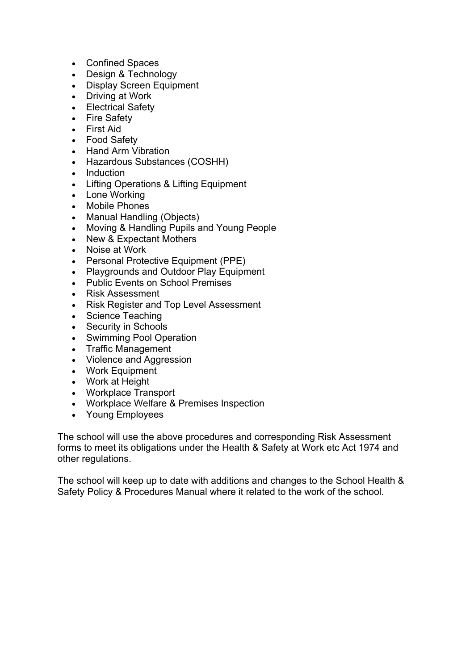- Confined Spaces
- Design & Technology
- Display Screen Equipment
- Driving at Work
- Electrical Safety
- Fire Safety
- First Aid
- Food Safety
- Hand Arm Vibration
- Hazardous Substances (COSHH)
- Induction
- Lifting Operations & Lifting Equipment
- Lone Working
- Mobile Phones
- Manual Handling (Objects)
- Moving & Handling Pupils and Young People
- New & Expectant Mothers
- Noise at Work
- Personal Protective Equipment (PPE)
- Playgrounds and Outdoor Play Equipment
- Public Events on School Premises
- Risk Assessment
- Risk Register and Top Level Assessment
- Science Teaching
- Security in Schools
- Swimming Pool Operation
- Traffic Management
- Violence and Aggression
- Work Equipment
- Work at Height
- Workplace Transport
- Workplace Welfare & Premises Inspection
- Young Employees

The school will use the above procedures and corresponding Risk Assessment forms to meet its obligations under the Health & Safety at Work etc Act 1974 and other regulations.

The school will keep up to date with additions and changes to the School Health & Safety Policy & Procedures Manual where it related to the work of the school.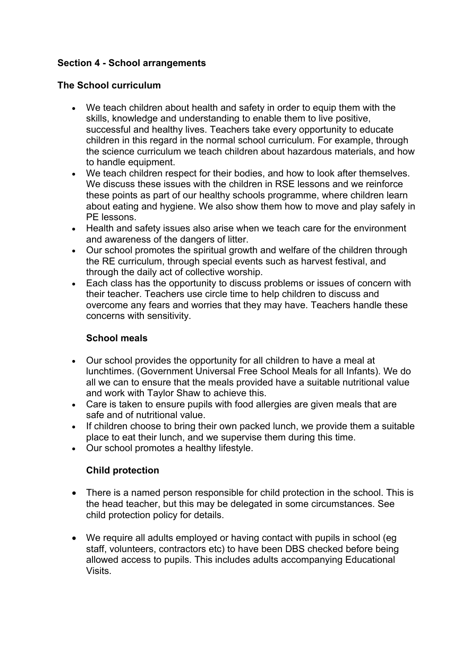## **Section 4 - School arrangements**

#### **The School curriculum**

- We teach children about health and safety in order to equip them with the skills, knowledge and understanding to enable them to live positive, successful and healthy lives. Teachers take every opportunity to educate children in this regard in the normal school curriculum. For example, through the science curriculum we teach children about hazardous materials, and how to handle equipment.
- We teach children respect for their bodies, and how to look after themselves. We discuss these issues with the children in RSE lessons and we reinforce these points as part of our healthy schools programme, where children learn about eating and hygiene. We also show them how to move and play safely in PE lessons.
- Health and safety issues also arise when we teach care for the environment and awareness of the dangers of litter.
- Our school promotes the spiritual growth and welfare of the children through the RE curriculum, through special events such as harvest festival, and through the daily act of collective worship.
- Each class has the opportunity to discuss problems or issues of concern with their teacher. Teachers use circle time to help children to discuss and overcome any fears and worries that they may have. Teachers handle these concerns with sensitivity.

#### **School meals**

- Our school provides the opportunity for all children to have a meal at lunchtimes. (Government Universal Free School Meals for all Infants). We do all we can to ensure that the meals provided have a suitable nutritional value and work with Taylor Shaw to achieve this.
- Care is taken to ensure pupils with food allergies are given meals that are safe and of nutritional value.
- If children choose to bring their own packed lunch, we provide them a suitable place to eat their lunch, and we supervise them during this time.
- Our school promotes a healthy lifestyle.

## **Child protection**

- There is a named person responsible for child protection in the school. This is the head teacher, but this may be delegated in some circumstances. See child protection policy for details.
- We require all adults employed or having contact with pupils in school (eg staff, volunteers, contractors etc) to have been DBS checked before being allowed access to pupils. This includes adults accompanying Educational Visits.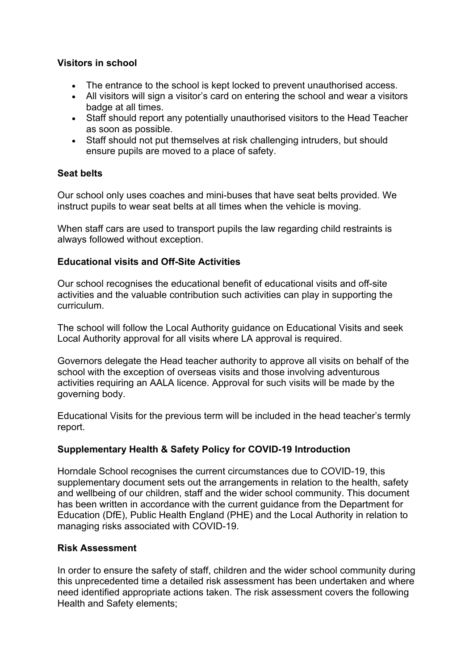#### **Visitors in school**

- The entrance to the school is kept locked to prevent unauthorised access.
- All visitors will sign a visitor's card on entering the school and wear a visitors badge at all times.
- Staff should report any potentially unauthorised visitors to the Head Teacher as soon as possible.
- Staff should not put themselves at risk challenging intruders, but should ensure pupils are moved to a place of safety.

#### **Seat belts**

Our school only uses coaches and mini-buses that have seat belts provided. We instruct pupils to wear seat belts at all times when the vehicle is moving.

When staff cars are used to transport pupils the law regarding child restraints is always followed without exception.

#### **Educational visits and Off-Site Activities**

Our school recognises the educational benefit of educational visits and off-site activities and the valuable contribution such activities can play in supporting the curriculum.

The school will follow the Local Authority guidance on Educational Visits and seek Local Authority approval for all visits where LA approval is required.

Governors delegate the Head teacher authority to approve all visits on behalf of the school with the exception of overseas visits and those involving adventurous activities requiring an AALA licence. Approval for such visits will be made by the governing body.

Educational Visits for the previous term will be included in the head teacher's termly report.

## **Supplementary Health & Safety Policy for COVID-19 Introduction**

Horndale School recognises the current circumstances due to COVID-19, this supplementary document sets out the arrangements in relation to the health, safety and wellbeing of our children, staff and the wider school community. This document has been written in accordance with the current guidance from the Department for Education (DfE), Public Health England (PHE) and the Local Authority in relation to managing risks associated with COVID-19.

#### **Risk Assessment**

In order to ensure the safety of staff, children and the wider school community during this unprecedented time a detailed risk assessment has been undertaken and where need identified appropriate actions taken. The risk assessment covers the following Health and Safety elements;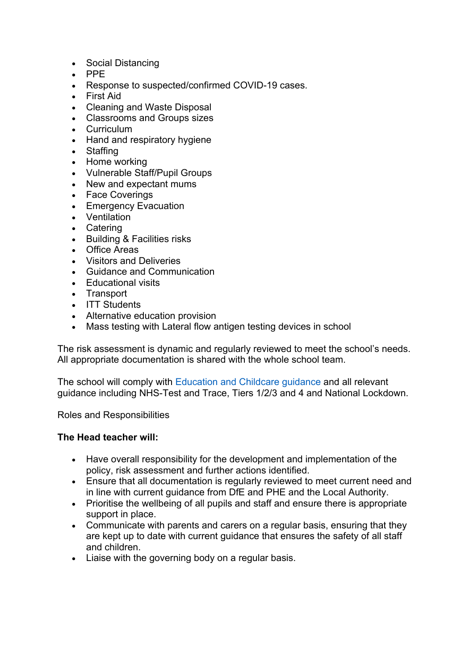- Social Distancing
- PPE
- Response to suspected/confirmed COVID-19 cases.
- First Aid
- Cleaning and Waste Disposal
- Classrooms and Groups sizes
- Curriculum
- Hand and respiratory hygiene
- **Staffing**
- Home working
- Vulnerable Staff/Pupil Groups
- New and expectant mums
- Face Coverings
- Emergency Evacuation
- Ventilation
- Catering
- Building & Facilities risks
- Office Areas
- Visitors and Deliveries
- Guidance and Communication
- Educational visits
- **Transport**
- ITT Students
- Alternative education provision
- Mass testing with Lateral flow antigen testing devices in school

The risk assessment is dynamic and regularly reviewed to meet the school's needs. All appropriate documentation is shared with the whole school team.

The school will comply with Education and Childcare guidance and all relevant guidance including NHS-Test and Trace, Tiers 1/2/3 and 4 and National Lockdown.

Roles and Responsibilities

#### **The Head teacher will:**

- Have overall responsibility for the development and implementation of the policy, risk assessment and further actions identified.
- Ensure that all documentation is regularly reviewed to meet current need and in line with current guidance from DfE and PHE and the Local Authority.
- Prioritise the wellbeing of all pupils and staff and ensure there is appropriate support in place.
- Communicate with parents and carers on a regular basis, ensuring that they are kept up to date with current guidance that ensures the safety of all staff and children.
- Liaise with the governing body on a regular basis.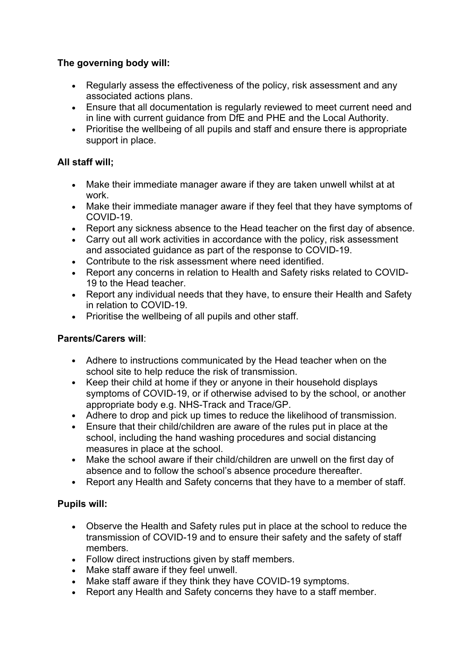## **The governing body will:**

- Regularly assess the effectiveness of the policy, risk assessment and any associated actions plans.
- Ensure that all documentation is regularly reviewed to meet current need and in line with current guidance from DfE and PHE and the Local Authority.
- Prioritise the wellbeing of all pupils and staff and ensure there is appropriate support in place.

## **All staff will;**

- Make their immediate manager aware if they are taken unwell whilst at at work.
- Make their immediate manager aware if they feel that they have symptoms of COVID-19.
- Report any sickness absence to the Head teacher on the first day of absence.
- Carry out all work activities in accordance with the policy, risk assessment and associated guidance as part of the response to COVID-19.
- Contribute to the risk assessment where need identified.
- Report any concerns in relation to Health and Safety risks related to COVID-19 to the Head teacher.
- Report any individual needs that they have, to ensure their Health and Safety in relation to COVID-19.
- Prioritise the wellbeing of all pupils and other staff.

## **Parents/Carers will**:

- Adhere to instructions communicated by the Head teacher when on the school site to help reduce the risk of transmission.
- Keep their child at home if they or anyone in their household displays symptoms of COVID-19, or if otherwise advised to by the school, or another appropriate body e.g. NHS-Track and Trace/GP.
- Adhere to drop and pick up times to reduce the likelihood of transmission.
- Ensure that their child/children are aware of the rules put in place at the school, including the hand washing procedures and social distancing measures in place at the school.
- Make the school aware if their child/children are unwell on the first day of absence and to follow the school's absence procedure thereafter.
- Report any Health and Safety concerns that they have to a member of staff.

## **Pupils will:**

- Observe the Health and Safety rules put in place at the school to reduce the transmission of COVID-19 and to ensure their safety and the safety of staff members.
- Follow direct instructions given by staff members.
- Make staff aware if they feel unwell.
- Make staff aware if they think they have COVID-19 symptoms.
- Report any Health and Safety concerns they have to a staff member.